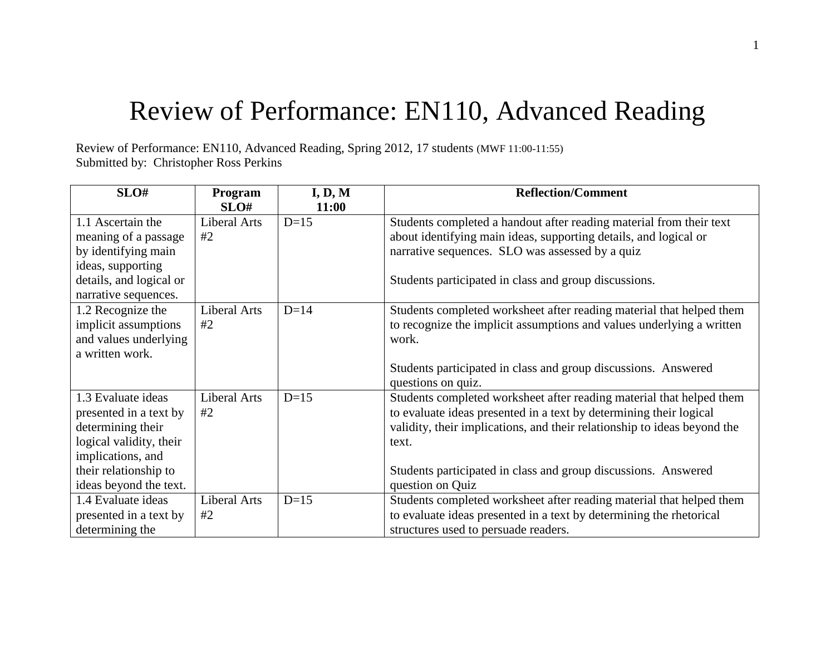## Review of Performance: EN110, Advanced Reading

Review of Performance: EN110, Advanced Reading, Spring 2012, 17 students (MWF 11:00-11:55) Submitted by: Christopher Ross Perkins

| SLO#                    | Program             | I, D, M | <b>Reflection/Comment</b>                                                |
|-------------------------|---------------------|---------|--------------------------------------------------------------------------|
|                         | SLO#                | 11:00   |                                                                          |
| 1.1 Ascertain the       | <b>Liberal Arts</b> | $D=15$  | Students completed a handout after reading material from their text      |
| meaning of a passage    | #2                  |         | about identifying main ideas, supporting details, and logical or         |
| by identifying main     |                     |         | narrative sequences. SLO was assessed by a quiz                          |
| ideas, supporting       |                     |         |                                                                          |
| details, and logical or |                     |         | Students participated in class and group discussions.                    |
| narrative sequences.    |                     |         |                                                                          |
| 1.2 Recognize the       | <b>Liberal Arts</b> | $D=14$  | Students completed worksheet after reading material that helped them     |
| implicit assumptions    | #2                  |         | to recognize the implicit assumptions and values underlying a written    |
| and values underlying   |                     |         | work.                                                                    |
| a written work.         |                     |         |                                                                          |
|                         |                     |         | Students participated in class and group discussions. Answered           |
|                         |                     |         | questions on quiz.                                                       |
| 1.3 Evaluate ideas      | <b>Liberal Arts</b> | $D=15$  | Students completed worksheet after reading material that helped them     |
| presented in a text by  | #2                  |         | to evaluate ideas presented in a text by determining their logical       |
| determining their       |                     |         | validity, their implications, and their relationship to ideas beyond the |
| logical validity, their |                     |         | text.                                                                    |
| implications, and       |                     |         |                                                                          |
| their relationship to   |                     |         | Students participated in class and group discussions. Answered           |
| ideas beyond the text.  |                     |         | question on Quiz                                                         |
| 1.4 Evaluate ideas      | <b>Liberal Arts</b> | $D=15$  | Students completed worksheet after reading material that helped them     |
| presented in a text by  | #2                  |         | to evaluate ideas presented in a text by determining the rhetorical      |
| determining the         |                     |         | structures used to persuade readers.                                     |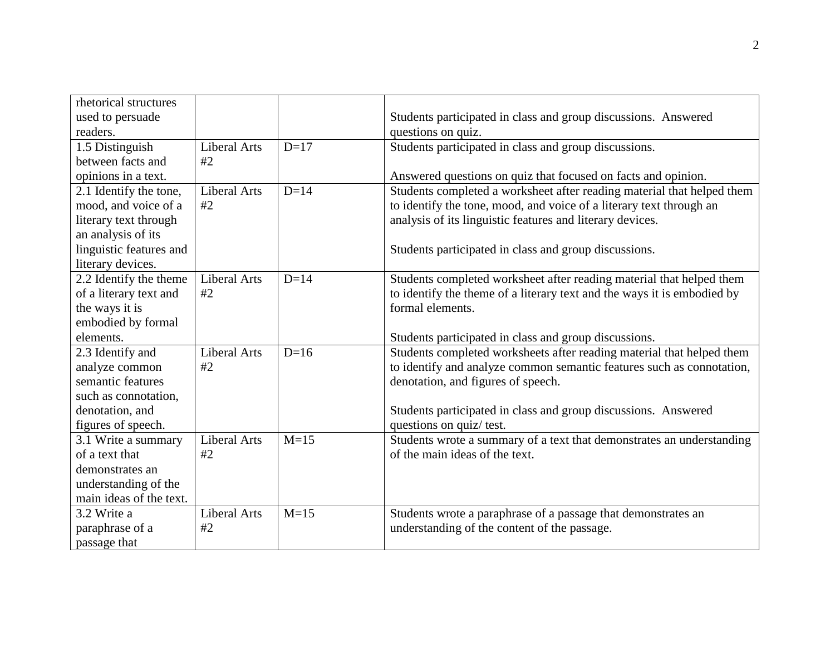| rhetorical structures   |                     |        |                                                                         |
|-------------------------|---------------------|--------|-------------------------------------------------------------------------|
| used to persuade        |                     |        | Students participated in class and group discussions. Answered          |
| readers.                |                     |        | questions on quiz.                                                      |
| 1.5 Distinguish         | <b>Liberal Arts</b> | $D=17$ | Students participated in class and group discussions.                   |
| between facts and       | #2                  |        |                                                                         |
| opinions in a text.     |                     |        | Answered questions on quiz that focused on facts and opinion.           |
| 2.1 Identify the tone,  | <b>Liberal Arts</b> | $D=14$ | Students completed a worksheet after reading material that helped them  |
| mood, and voice of a    | #2                  |        | to identify the tone, mood, and voice of a literary text through an     |
| literary text through   |                     |        | analysis of its linguistic features and literary devices.               |
| an analysis of its      |                     |        |                                                                         |
| linguistic features and |                     |        | Students participated in class and group discussions.                   |
| literary devices.       |                     |        |                                                                         |
| 2.2 Identify the theme  | <b>Liberal Arts</b> | $D=14$ | Students completed worksheet after reading material that helped them    |
| of a literary text and  | #2                  |        | to identify the theme of a literary text and the ways it is embodied by |
| the ways it is          |                     |        | formal elements.                                                        |
| embodied by formal      |                     |        |                                                                         |
| elements.               |                     |        | Students participated in class and group discussions.                   |
| 2.3 Identify and        | <b>Liberal Arts</b> | $D=16$ | Students completed worksheets after reading material that helped them   |
| analyze common          | #2                  |        | to identify and analyze common semantic features such as connotation,   |
| semantic features       |                     |        | denotation, and figures of speech.                                      |
| such as connotation,    |                     |        |                                                                         |
| denotation, and         |                     |        | Students participated in class and group discussions. Answered          |
| figures of speech.      |                     |        | questions on quiz/ test.                                                |
| 3.1 Write a summary     | <b>Liberal Arts</b> | $M=15$ | Students wrote a summary of a text that demonstrates an understanding   |
| of a text that          | #2                  |        | of the main ideas of the text.                                          |
| demonstrates an         |                     |        |                                                                         |
| understanding of the    |                     |        |                                                                         |
| main ideas of the text. |                     |        |                                                                         |
| 3.2 Write a             | <b>Liberal Arts</b> | $M=15$ | Students wrote a paraphrase of a passage that demonstrates an           |
| paraphrase of a         | #2                  |        | understanding of the content of the passage.                            |
| passage that            |                     |        |                                                                         |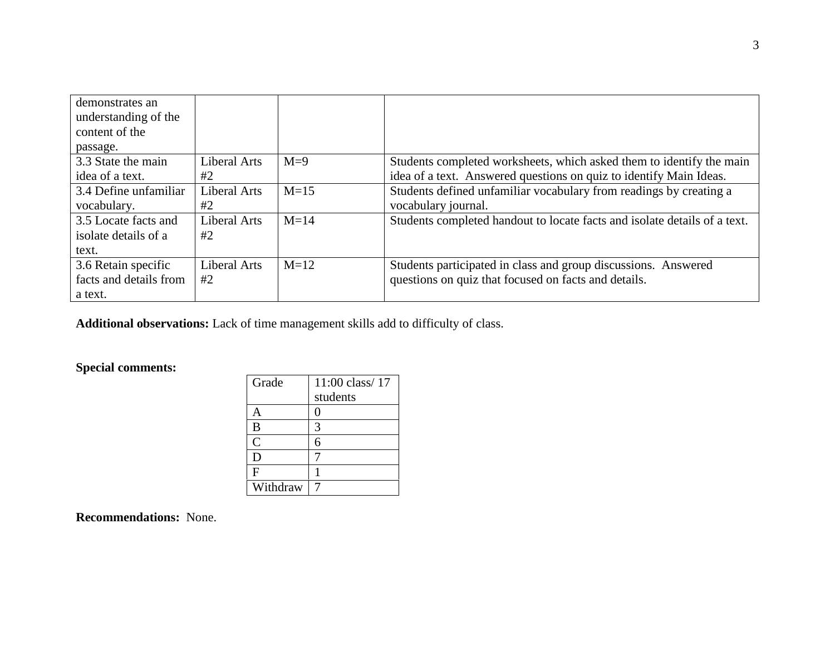| demonstrates an<br>understanding of the<br>content of the<br>passage. |                    |        |                                                                                                                                            |
|-----------------------------------------------------------------------|--------------------|--------|--------------------------------------------------------------------------------------------------------------------------------------------|
| 3.3 State the main<br>idea of a text.                                 | Liberal Arts<br>#2 | $M=9$  | Students completed worksheets, which asked them to identify the main<br>idea of a text. Answered questions on quiz to identify Main Ideas. |
| 3.4 Define unfamiliar<br>vocabulary.                                  | Liberal Arts<br>#2 | $M=15$ | Students defined unfamiliar vocabulary from readings by creating a<br>vocabulary journal.                                                  |
| 3.5 Locate facts and<br>isolate details of a<br>text.                 | Liberal Arts<br>#2 | $M=14$ | Students completed handout to locate facts and isolate details of a text.                                                                  |
| 3.6 Retain specific<br>facts and details from<br>a text.              | Liberal Arts<br>#2 | $M=12$ | Students participated in class and group discussions. Answered<br>questions on quiz that focused on facts and details.                     |

**Additional observations:** Lack of time management skills add to difficulty of class.

## **Special comments:**

| Grade          | $11:00$ class/ $17$ |
|----------------|---------------------|
|                | students            |
| А              | 0                   |
| B              | 3                   |
| $\overline{C}$ | 6                   |
| D              |                     |
| F              |                     |
| Withdraw       |                     |

**Recommendations:** None.